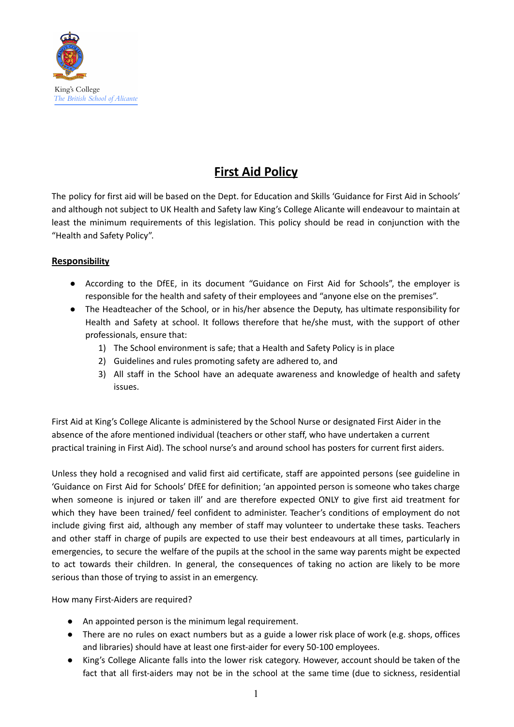

# **First Aid Policy**

The policy for first aid will be based on the Dept. for Education and Skills 'Guidance for First Aid in Schools' and although not subject to UK Health and Safety law King's College Alicante will endeavour to maintain at least the minimum requirements of this legislation. This policy should be read in conjunction with the "Health and Safety Policy".

## **Responsibility**

- According to the DfEE, in its document "Guidance on First Aid for Schools", the employer is responsible for the health and safety of their employees and "anyone else on the premises".
- The Headteacher of the School, or in his/her absence the Deputy, has ultimate responsibility for Health and Safety at school. It follows therefore that he/she must, with the support of other professionals, ensure that:
	- 1) The School environment is safe; that a Health and Safety Policy is in place
	- 2) Guidelines and rules promoting safety are adhered to, and
	- 3) All staff in the School have an adequate awareness and knowledge of health and safety issues.

First Aid at King's College Alicante is administered by the School Nurse or designated First Aider in the absence of the afore mentioned individual (teachers or other staff, who have undertaken a current practical training in First Aid). The school nurse's and around school has posters for current first aiders.

Unless they hold a recognised and valid first aid certificate, staff are appointed persons (see guideline in 'Guidance on First Aid for Schools' DfEE for definition; 'an appointed person is someone who takes charge when someone is injured or taken ill' and are therefore expected ONLY to give first aid treatment for which they have been trained/ feel confident to administer. Teacher's conditions of employment do not include giving first aid, although any member of staff may volunteer to undertake these tasks. Teachers and other staff in charge of pupils are expected to use their best endeavours at all times, particularly in emergencies, to secure the welfare of the pupils at the school in the same way parents might be expected to act towards their children. In general, the consequences of taking no action are likely to be more serious than those of trying to assist in an emergency.

How many First-Aiders are required?

- An appointed person is the minimum legal requirement.
- There are no rules on exact numbers but as a guide a lower risk place of work (e.g. shops, offices and libraries) should have at least one first-aider for every 50-100 employees.
- King's College Alicante falls into the lower risk category. However, account should be taken of the fact that all first-aiders may not be in the school at the same time (due to sickness, residential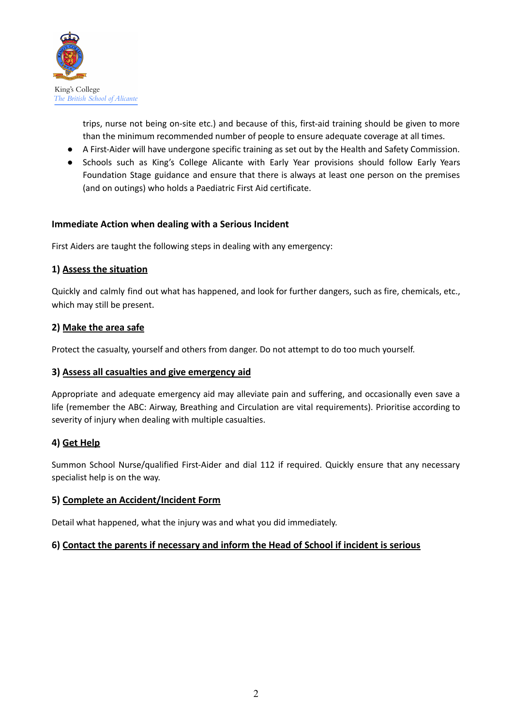

trips, nurse not being on-site etc.) and because of this, first-aid training should be given to more than the minimum recommended number of people to ensure adequate coverage at all times.

- A First-Aider will have undergone specific training as set out by the Health and Safety Commission.
- Schools such as King's College Alicante with Early Year provisions should follow Early Years Foundation Stage guidance and ensure that there is always at least one person on the premises (and on outings) who holds a Paediatric First Aid certificate.

## **Immediate Action when dealing with a Serious Incident**

First Aiders are taught the following steps in dealing with any emergency:

## **1) Assess the situation**

Quickly and calmly find out what has happened, and look for further dangers, such as fire, chemicals, etc., which may still be present.

## **2) Make the area safe**

Protect the casualty, yourself and others from danger. Do not attempt to do too much yourself.

## **3) Assess all casualties and give emergency aid**

Appropriate and adequate emergency aid may alleviate pain and suffering, and occasionally even save a life (remember the ABC: Airway, Breathing and Circulation are vital requirements). Prioritise according to severity of injury when dealing with multiple casualties.

# **4) Get Help**

Summon School Nurse/qualified First-Aider and dial 112 if required. Quickly ensure that any necessary specialist help is on the way.

## **5) Complete an Accident/Incident Form**

Detail what happened, what the injury was and what you did immediately.

## **6) Contact the parents if necessary and inform the Head of School if incident is serious**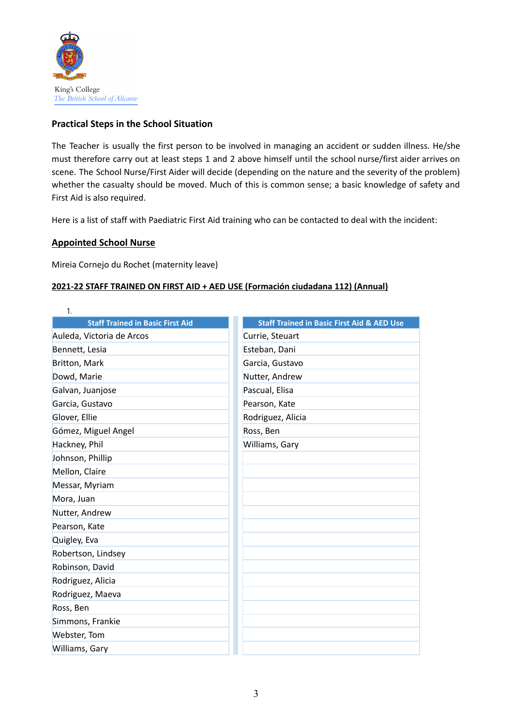

## **Practical Steps in the School Situation**

The Teacher is usually the first person to be involved in managing an accident or sudden illness. He/she must therefore carry out at least steps 1 and 2 above himself until the school nurse/first aider arrives on scene. The School Nurse/First Aider will decide (depending on the nature and the severity of the problem) whether the casualty should be moved. Much of this is common sense; a basic knowledge of safety and First Aid is also required.

Here is a list of staff with Paediatric First Aid training who can be contacted to deal with the incident:

## **Appointed School Nurse**

Mireia Cornejo du Rochet (maternity leave)

## **2021-22 STAFF TRAINED ON FIRST AID + AED USE (Formación ciudadana 112) (Annual)**

| <b>Staff Trained in Basic First Aid &amp; AED Use</b> |
|-------------------------------------------------------|
| Currie, Steuart                                       |
| Esteban, Dani                                         |
| Garcia, Gustavo                                       |
| Nutter, Andrew                                        |
| Pascual, Elisa                                        |
| Pearson, Kate                                         |
| Rodriguez, Alicia                                     |
| Ross, Ben                                             |
| Williams, Gary                                        |
|                                                       |
|                                                       |
|                                                       |
|                                                       |
|                                                       |
|                                                       |
|                                                       |
|                                                       |
|                                                       |
|                                                       |
|                                                       |
|                                                       |
|                                                       |
|                                                       |
|                                                       |
|                                                       |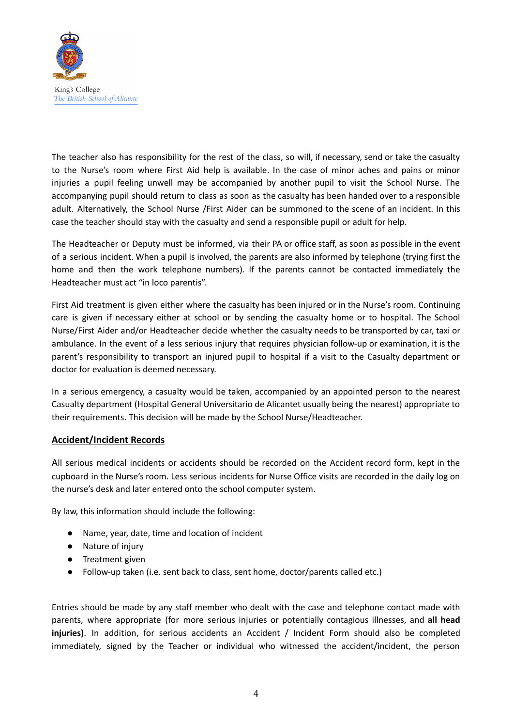

The teacher also has responsibility for the rest of the class, so will, if necessary, send or take the casualty to the Nurse's room where First Aid help is available. In the case of minor aches and pains or minor injuries a pupil feeling unwell may be accompanied by another pupil to visit the School Nurse. The accompanying pupil should return to class as soon as the casualty has been handed over to a responsible adult. Alternatively, the School Nurse /First Aider can be summoned to the scene of an incident. In this case the teacher should stay with the casualty and send a responsible pupil or adult for help.

The Headteacher or Deputy must be informed, via their PA or office staff, as soon as possible in the event of a serious incident. When a pupil is involved, the parents are also informed by telephone (trying first the home and then the work telephone numbers). If the parents cannot be contacted immediately the Headteacher must act "in loco parentis".

First Aid treatment is given either where the casualty has been injured or in the Nurse's room. Continuing care is given if necessary either at school or by sending the casualty home or to hospital. The School Nurse/First Aider and/or Headteacher decide whether the casualty needs to be transported by car, taxi or ambulance. In the event of a less serious injury that requires physician follow-up or examination, it is the parent's responsibility to transport an injured pupil to hospital if a visit to the Casualty department or doctor for evaluation is deemed necessary.

In a serious emergency, a casualty would be taken, accompanied by an appointed person to the nearest Casualty department (Hospital General Universitario de Alicantet usually being the nearest) appropriate to their requirements. This decision will be made by the School Nurse/Headteacher.

#### **Accident/Incident Records**

All serious medical incidents or accidents should be recorded on the Accident record form, kept in the cupboard in the Nurse's room. Less serious incidents for Nurse Office visits are recorded in the daily log on the nurse's desk and later entered onto the school computer system.

By law, this information should include the following:

- Name, year, date, time and location of incident
- Nature of injury
- Treatment given
- Follow-up taken (i.e. sent back to class, sent home, doctor/parents called etc.)

Entries should be made by any staff member who dealt with the case and telephone contact made with parents, where appropriate (for more serious injuries or potentially contagious illnesses, and **all head** injuries). In addition, for serious accidents an Accident / Incident Form should also be completed immediately, signed by the Teacher or individual who witnessed the accident/incident, the person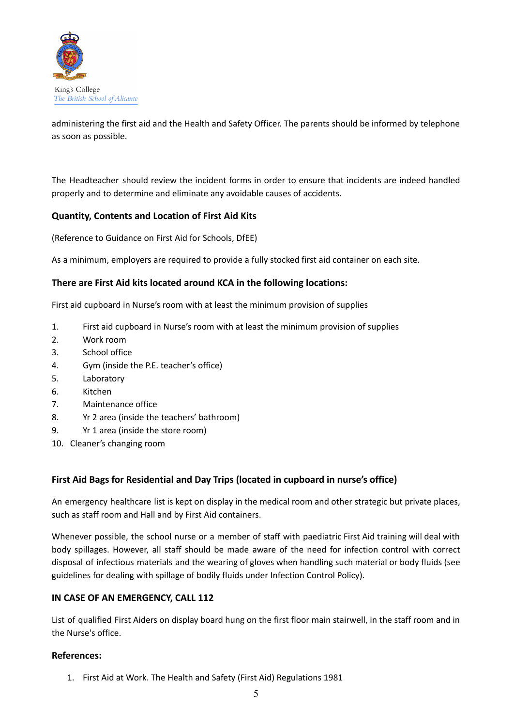

administering the first aid and the Health and Safety Officer. The parents should be informed by telephone as soon as possible.

The Headteacher should review the incident forms in order to ensure that incidents are indeed handled properly and to determine and eliminate any avoidable causes of accidents.

## **Quantity, Contents and Location of First Aid Kits**

(Reference to Guidance on First Aid for Schools, DfEE)

As a minimum, employers are required to provide a fully stocked first aid container on each site.

## **There are First Aid kits located around KCA in the following locations:**

First aid cupboard in Nurse's room with at least the minimum provision of supplies

- 1. First aid cupboard in Nurse's room with at least the minimum provision of supplies
- 2. Work room
- 3. School office
- 4. Gym (inside the P.E. teacher's office)
- 5. Laboratory
- 6. Kitchen
- 7. Maintenance office
- 8. Yr 2 area (inside the teachers' bathroom)
- 9. Yr 1 area (inside the store room)
- 10. Cleaner's changing room

## **First Aid Bags for Residential and Day Trips (located in cupboard in nurse's office)**

An emergency healthcare list is kept on display in the medical room and other strategic but private places, such as staff room and Hall and by First Aid containers.

Whenever possible, the school nurse or a member of staff with paediatric First Aid training will deal with body spillages. However, all staff should be made aware of the need for infection control with correct disposal of infectious materials and the wearing of gloves when handling such material or body fluids (see guidelines for dealing with spillage of bodily fluids under Infection Control Policy).

## **IN CASE OF AN EMERGENCY, CALL 112**

List of qualified First Aiders on display board hung on the first floor main stairwell, in the staff room and in the Nurse's office.

#### **References:**

1. First Aid at Work. The Health and Safety (First Aid) Regulations 1981